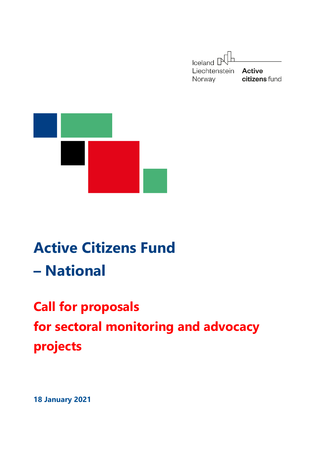



# **Active Citizens Fund – National**

# **Call for proposals for sectoral monitoring and advocacy projects**

**18 January 2021**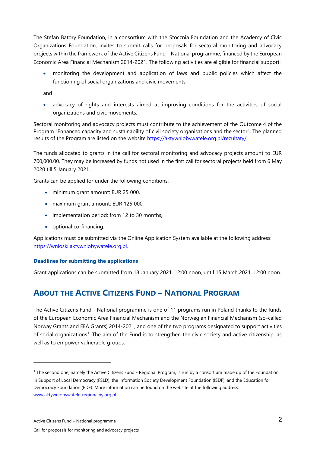The Stefan Batory Foundation, in a consortium with the Stocznia Foundation and the Academy of Civic Organizations Foundation, invites to submit calls for proposals for sectoral monitoring and advocacy projects within the framework of the Active Citizens Fund – National programme, financed by the European Economic Area Financial Mechanism 2014-2021. The following activities are eligible for financial support:

• monitoring the development and application of laws and public policies which affect the functioning of social organizations and civic movements,

and

• advocacy of rights and interests aimed at improving conditions for the activities of social organizations and civic movements.

Sectoral monitoring and advocacy projects must contribute to the achievement of the Outcome 4 of the Program "Enhanced capacity and sustainability of civil society organisations and the sector". The planned results of the Program are listed on the website [https://aktywniobywatele.org.pl/rezultaty/.](https://aktywniobywatele.org.pl/rezultaty/)

The funds allocated to grants in the call for sectoral monitoring and advocacy projects amount to EUR 700,000.00. They may be increased by funds not used in the first call for sectoral projects held from 6 May 2020 till 5 January 2021.

Grants can be applied for under the following conditions:

- minimum grant amount: EUR 25 000,
- maximum grant amount: EUR 125 000,
- implementation period: from 12 to 30 months,
- optional co-financing.

Applications must be submitted via the Online Application System available at the following address: [https://wnioski.aktywniobywatele.org.pl.](https://wnioski.aktywniobywatele.org.pl/)

#### **Deadlines for submitting the applications**

Grant applications can be submitted from 18 January 2021, 12:00 noon, until 15 March 2021, 12:00 noon.

## **ABOUT THE ACTIVE CITIZENS FUND – NATIONAL PROGRAM**

The Active Citizens Fund - National programme is one of 11 programs run in Poland thanks to the funds of the European Economic Area Financial Mechanism and the Norwegian Financial Mechanism (so-called Norway Grants and EEA Grants) 2014-2021, and one of the two programs designated to support activities of social organizations<sup>1</sup>. The aim of the Fund is to strengthen the civic society and active citizenship, as well as to empower vulnerable groups.

l

<sup>&</sup>lt;sup>1</sup> The second one, namely the Active Citizens Fund - Regional Program, is run by a consortium made up of the Foundation in Support of Local Democracy (FSLD), the Information Society Development Foundation (ISDF), and the Education for Democracy Foundation (EDF). More information can be found on the website at the following address: [www.aktywniobywatele-regionalny.org.pl.](http://www.aktywniobywatele-regionalny.org.pl/)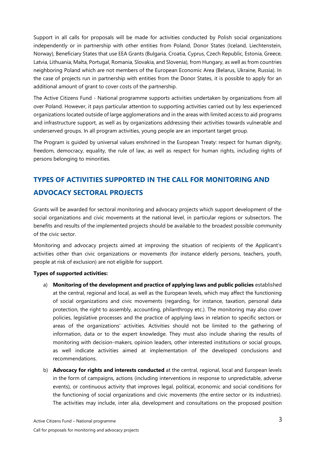Support in all calls for proposals will be made for activities conducted by Polish social organizations independently or in partnership with other entities from Poland, Donor States (Iceland, Liechtenstein, Norway), Beneficiary States that use EEA Grants (Bulgaria, Croatia, Cyprus, Czech Republic, Estonia, Greece, Latvia, Lithuania, Malta, Portugal, Romania, Slovakia, and Slovenia), from Hungary, as well as from countries neighboring Poland which are not members of the European Economic Area (Belarus, Ukraine, Russia). In the case of projects run in partnership with entities from the Donor States, it is possible to apply for an additional amount of grant to cover costs of the partnership.

The Active Citizens Fund - National programme supports activities undertaken by organizations from all over Poland. However, it pays particular attention to supporting activities carried out by less experienced organizations located outside of large agglomerations and in the areas with limited access to aid programs and infrastructure support, as well as by organizations addressing their activities towards vulnerable and underserved groups. In all program activities, young people are an important target group.

The Program is guided by universal values enshrined in the European Treaty: respect for human dignity, freedom, democracy, equality, the rule of law, as well as respect for human rights, including rights of persons belonging to minorities.

# **TYPES OF ACTIVITIES SUPPORTED IN THE CALL FOR MONITORING AND ADVOCACY SECTORAL PROJECTS**

Grants will be awarded for sectoral monitoring and advocacy projects which support development of the social organizations and civic movements at the national level, in particular regions or subsectors. The benefits and results of the implemented projects should be available to the broadest possible community of the civic sector.

Monitoring and advocacy projects aimed at improving the situation of recipients of the Applicant's activities other than civic organizations or movements (for instance elderly persons, teachers, youth, people at risk of exclusion) are not eligible for support.

#### **Types of supported activities:**

- a) **Monitoring of the development and practice of applying laws and public policies** established at the central, regional and local, as well as the European levels, which may affect the functioning of social organizations and civic movements (regarding, for instance, taxation, personal data protection, the right to assembly, accounting, philanthropy etc.). The monitoring may also cover policies, legislative processes and the practice of applying laws in relation to specific sectors or areas of the organizations' activities. Activities should not be limited to the gathering of information, data or to the expert knowledge. They must also include sharing the results of monitoring with decision-makers, opinion leaders, other interested institutions or social groups, as well indicate activities aimed at implementation of the developed conclusions and recommendations.
- b) **Advocacy for rights and interests conducted** at the central, regional, local and European levels in the form of campaigns, actions (including interventions in response to unpredictable, adverse events), or continuous activity that improves legal, political, economic and social conditions for the functioning of social organizations and civic movements (the entire sector or its industries). The activities may include, inter alia, development and consultations on the proposed position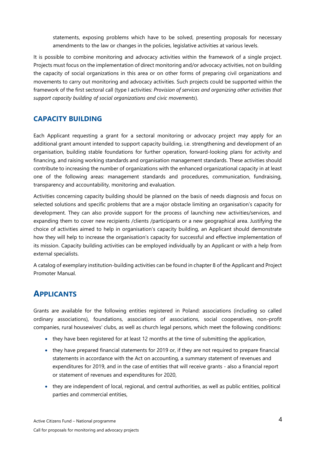statements, exposing problems which have to be solved, presenting proposals for necessary amendments to the law or changes in the policies, legislative activities at various levels.

It is possible to combine monitoring and advocacy activities within the framework of a single project. Projects must focus on the implementation of direct monitoring and/or advocacy activities, not on building the capacity of social organizations in this area or on other forms of preparing civil organizations and movements to carry out monitoring and advocacy activities. Such projects could be supported within the framework of the first sectoral call (type I activities: *Provision of services and organizing other activities that support capacity building of social organizations and civic movements*).

#### **CAPACITY BUILDING**

Each Applicant requesting a grant for a sectoral monitoring or advocacy project may apply for an additional grant amount intended to support capacity building, i.e. strengthening and development of an organisation, building stable foundations for further operation, forward-looking plans for activity and financing, and raising working standards and organisation management standards. These activities should contribute to increasing the number of organizations with the enhanced organizational capacity in at least one of the following areas: management standards and procedures, communication, fundraising, transparency and accountability, monitoring and evaluation.

Activities concerning capacity building should be planned on the basis of needs diagnosis and focus on selected solutions and specific problems that are a major obstacle limiting an organisation's capacity for development. They can also provide support for the process of launching new activities/services, and expanding them to cover new recipients /clients /participants or a new geographical area. Justifying the choice of activities aimed to help in organisation's capacity building, an Applicant should demonstrate how they will help to increase the organisation's capacity for successful and effective implementation of its mission. Capacity building activities can be employed individually by an Applicant or with a help from external specialists.

A catalog of exemplary institution-building activities can be found in chapter 8 of the Applicant and Project Promoter Manual.

## **APPLICANTS**

Grants are available for the following entities registered in Poland: associations (including so called ordinary associations), foundations, associations of associations, social cooperatives, non-profit companies, rural housewives' clubs, as well as church legal persons, which meet the following conditions:

- they have been registered for at least 12 months at the time of submitting the application,
- they have prepared financial statements for 2019 or, if they are not required to prepare financial statements in accordance with the Act on accounting, a summary statement of revenues and expenditures for 2019, and in the case of entities that will receive grants - also a financial report or statement of revenues and expenditures for 2020,
- they are independent of local, regional, and central authorities, as well as public entities, political parties and commercial entities,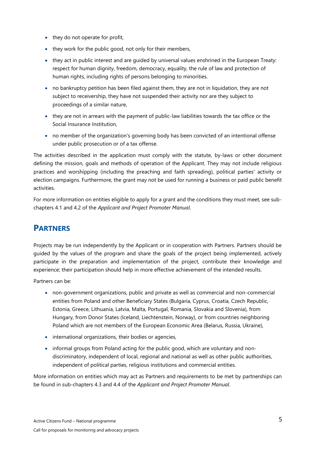- they do not operate for profit,
- they work for the public good, not only for their members,
- they act in public interest and are guided by universal values enshrined in the European Treaty: respect for human dignity, freedom, democracy, equality, the rule of law and protection of human rights, including rights of persons belonging to minorities.
- no bankruptcy petition has been filed against them, they are not in liquidation, they are not subject to receivership, they have not suspended their activity nor are they subject to proceedings of a similar nature,
- they are not in arrears with the payment of public-law liabilities towards the tax office or the Social Insurance Institution,
- no member of the organization's governing body has been convicted of an intentional offense under public prosecution or of a tax offense.

The activities described in the application must comply with the statute, by-laws or other document defining the mission, goals and methods of operation of the Applicant. They may not include religious practices and worshipping (including the preaching and faith spreading), political parties' activity or election campaigns. Furthermore, the grant may not be used for running a business or paid public benefit activities.

For more information on entities eligible to apply for a grant and the conditions they must meet, see subchapters 4.1 and 4.2 of the *Applicant and Project Promoter Manual*.

## **PARTNERS**

Projects may be run independently by the Applicant or in cooperation with Partners. Partners should be guided by the values of the program and share the goals of the project being implemented, actively participate in the preparation and implementation of the project, contribute their knowledge and experience; their participation should help in more effective achievement of the intended results.

Partners can be:

- non-government organizations, public and private as well as commercial and non-commercial entities from Poland and other Beneficiary States (Bulgaria, Cyprus, Croatia, Czech Republic, Estonia, Greece, Lithuania, Latvia, Malta, Portugal, Romania, Slovakia and Slovenia), from Hungary, from Donor States (Iceland, Liechtenstein, Norway), or from countries neighboring Poland which are not members of the European Economic Area (Belarus, Russia, Ukraine),
- international organizations, their bodies or agencies,
- informal groups from Poland acting for the public good, which are voluntary and nondiscriminatory, independent of local, regional and national as well as other public authorities, independent of political parties, religious institutions and commercial entities.

More information on entities which may act as Partners and requirements to be met by partnerships can be found in sub-chapters 4.3 and 4.4 of the *Applicant and Project Promoter Manual*.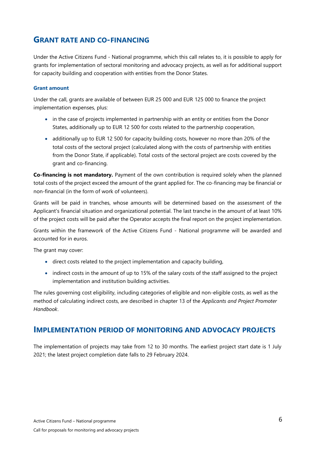## **GRANT RATE AND CO-FINANCING**

Under the Active Citizens Fund - National programme, which this call relates to, it is possible to apply for grants for implementation of sectoral monitoring and advocacy projects, as well as for additional support for capacity building and cooperation with entities from the Donor States.

#### **Grant amount**

Under the call, grants are available of between EUR 25 000 and EUR 125 000 to finance the project implementation expenses, plus:

- in the case of projects implemented in partnership with an entity or entities from the Donor States, additionally up to EUR 12 500 for costs related to the partnership cooperation,
- additionally up to EUR 12 500 for capacity building costs, however no more than 20% of the total costs of the sectoral project (calculated along with the costs of partnership with entities from the Donor State, if applicable). Total costs of the sectoral project are costs covered by the grant and co-financing.

**Co-financing is not mandatory.** Payment of the own contribution is required solely when the planned total costs of the project exceed the amount of the grant applied for. The co-financing may be financial or non-financial (in the form of work of volunteers).

Grants will be paid in tranches, whose amounts will be determined based on the assessment of the Applicant's financial situation and organizational potential. The last tranche in the amount of at least 10% of the project costs will be paid after the Operator accepts the final report on the project implementation.

Grants within the framework of the Active Citizens Fund - National programme will be awarded and accounted for in euros.

The grant may cover:

- direct costs related to the project implementation and capacity building,
- indirect costs in the amount of up to 15% of the salary costs of the staff assigned to the project implementation and institution building activities.

The rules governing cost eligibility, including categories of eligible and non-eligible costs, as well as the method of calculating indirect costs, are described in chapter 13 of the *Applicants and Project Promoter Handbook*.

#### **IMPLEMENTATION PERIOD OF MONITORING AND ADVOCACY PROJECTS**

The implementation of projects may take from 12 to 30 months. The earliest project start date is 1 July 2021; the latest project completion date falls to 29 February 2024.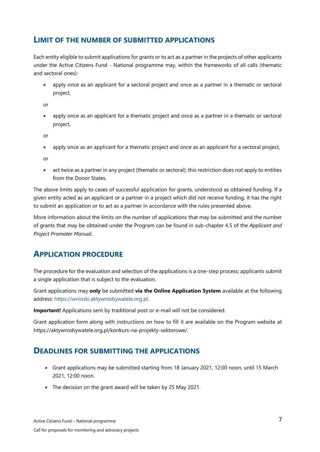### **LIMIT OF THE NUMBER OF SUBMITTED APPLICATIONS**

Each entity eligible to submit applications for grants or to act as a partner in the projects of other applicants under the Active Citizens Fund - National programme may, within the frameworks of all calls (thematic and sectoral ones):

• apply once as an applicant for a sectoral project and once as a partner in a thematic or sectoral project,

or

• apply once as an applicant for a thematic project and once as a partner in a thematic or sectoral project,

or

• apply once as an applicant for a thematic project and once as an applicant for a sectoral project,

or

act twice as a partner in any project (thematic or sectoral); this restriction does not apply to entities from the Donor States.

The above limits apply to cases of successful application for grants, understood as obtained funding. If a given entity acted as an applicant or a partner in a project which did not receive funding, it has the right to submit an application or to act as a partner in accordance with the rules presented above.

More information about the limits on the number of applications that may be submitted and the number of grants that may be obtained under the Program can be found in sub-chapter 4.5 of the *Applicant and Project Promoter Manual*.

## **APPLICATION PROCEDURE**

The procedure for the evaluation and selection of the applications is a one-step process; applicants submit a single application that is subject to the evaluation.

Grant applications may **only** be submitted **via the Online Application System** available at the following address: [https://wnioski.aktywniobywatele.org.pl.](https://wnioski.aktywniobywatele.org.pl/)

**Important!** Applications sent by traditional post or e-mail will not be considered.

Grant application form along with instructions on how to fill it are available on the Program website at https://aktywniobywatele.org.pl/konkurs-na-projekty-sektorowe/.

#### **DEADLINES FOR SUBMITTING THE APPLICATIONS**

- Grant applications may be submitted starting from 18 January 2021, 12:00 noon, until 15 March 2021, 12:00 noon.
- The decision on the grant award will be taken by 25 May 2021.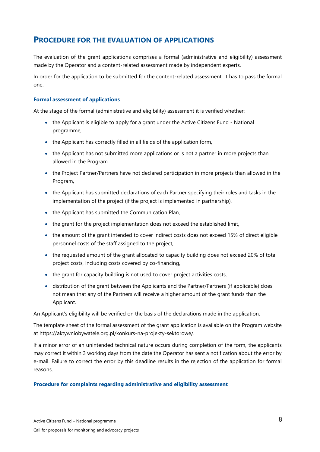### **PROCEDURE FOR THE EVALUATION OF APPLICATIONS**

The evaluation of the grant applications comprises a formal (administrative and eligibility) assessment made by the Operator and a content-related assessment made by independent experts.

In order for the application to be submitted for the content-related assessment, it has to pass the formal one.

#### **Formal assessment of applications**

At the stage of the formal (administrative and eligibility) assessment it is verified whether:

- the Applicant is eligible to apply for a grant under the Active Citizens Fund National programme,
- the Applicant has correctly filled in all fields of the application form,
- the Applicant has not submitted more applications or is not a partner in more projects than allowed in the Program,
- the Project Partner/Partners have not declared participation in more projects than allowed in the Program,
- the Applicant has submitted declarations of each Partner specifying their roles and tasks in the implementation of the project (if the project is implemented in partnership),
- the Applicant has submitted the Communication Plan,
- the grant for the project implementation does not exceed the established limit,
- the amount of the grant intended to cover indirect costs does not exceed 15% of direct eligible personnel costs of the staff assigned to the project,
- the requested amount of the grant allocated to capacity building does not exceed 20% of total project costs, including costs covered by co-financing,
- the grant for capacity building is not used to cover project activities costs,
- distribution of the grant between the Applicants and the Partner/Partners (if applicable) does not mean that any of the Partners will receive a higher amount of the grant funds than the Applicant.

An Applicant's eligibility will be verified on the basis of the declarations made in the application.

The template sheet of the formal assessment of the grant application is available on the Program website at https://aktywniobywatele.org.pl/konkurs-na-projekty-sektorowe/.

If a minor error of an unintended technical nature occurs during completion of the form, the applicants may correct it within 3 working days from the date the Operator has sent a notification about the error by e-mail. Failure to correct the error by this deadline results in the rejection of the application for formal reasons.

#### **Procedure for complaints regarding administrative and eligibility assessment**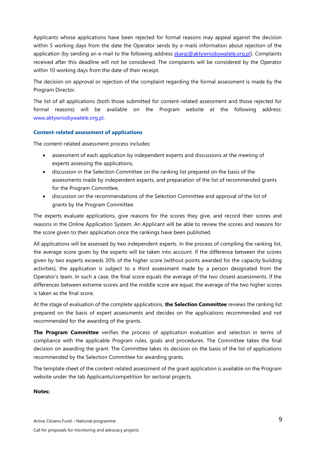Applicants whose applications have been rejected for formal reasons may appeal against the decision within 5 working days from the date the Operator sends by e-mails information about rejection of the application (by sending an e-mail to the following address [skargi@aktywniobywatele.org.pl\)](mailto:skargi@aktywniobywatele.org.pl). Complaints received after this deadline will not be considered. The complaints will be considered by the Operator within 10 working days from the date of their receipt.

The decision on approval or rejection of the complaint regarding the formal assessment is made by the Program Director.

The list of all applications (both those submitted for content-related assessment and those rejected for formal reasons) will be available on the Program website at the following address: [www.aktywniobywatele.org.pl.](http://www.aktywniobywatele.org.pl/)

#### **Content-related assessment of applications**

The content-related assessment process includes:

- assessment of each application by independent experts and discussions at the meeting of experts assessing the applications,
- discussion in the Selection Committee on the ranking list prepared on the basis of the assessments made by independent experts, and preparation of the list of recommended grants for the Program Committee,
- discussion on the recommendations of the Selection Committee and approval of the list of grants by the Program Committee.

The experts evaluate applications, give reasons for the scores they give, and record their scores and reasons in the Online Application System. An Applicant will be able to review the scores and reasons for the score given to their application once the rankings have been published.

All applications will be assessed by two independent experts. In the process of compiling the ranking list, the average score given by the experts will be taken into account. If the difference between the scores given by two experts exceeds 30% of the higher score (without points awarded for the capacity building activities), the application is subject to a third assessment made by a person designated from the Operator's team. In such a case, the final score equals the average of the two closest assessments. If the differences between extreme scores and the middle score are equal, the average of the two higher scores is taken as the final score.

At the stage of evaluation of the complete applications, **the Selection Committee** reviews the ranking list prepared on the basis of expert assessments and decides on the applications recommended and not recommended for the awarding of the grants.

**The Program Committee** verifies the process of application evaluation and selection in terms of compliance with the applicable Program rules, goals and procedures. The Committee takes the final decision on awarding the grant. The Committee takes its decision on the basis of the list of applications recommended by the Selection Committee for awarding grants.

The template sheet of the content-related assessment of the grant application is available on the Program website [under the tab Applicants/competition for sectoral projects.](http://aktywniobywatele.org.pl/dla-wnioskodawcow/konkurs-na-projekty-tematyczne/)

#### **Notes:**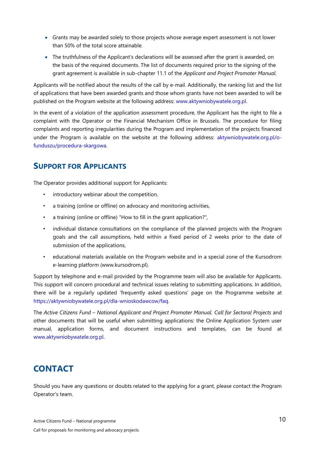- Grants may be awarded solely to those projects whose average expert assessment is not lower than 50% of the total score attainable.
- The truthfulness of the Applicant's declarations will be assessed after the grant is awarded, on the basis of the required documents. The list of documents required prior to the signing of the grant agreement is available in sub-chapter 11.1 of the *Applicant and Project Promoter Manual.*

Applicants will be notified about the results of the call by e-mail. Additionally, the ranking list and the list of applications that have been awarded grants and those whom grants have not been awarded to will be published on the Program website at the following address: www.aktywniobywatele.org.pl.

In the event of a violation of the application assessment procedure, the Applicant has the right to file a complaint with the Operator or the Financial Mechanism Office in Brussels. The procedure for filing complaints and reporting irregularities during the Program and implementation of the projects financed under the Program is available on the website at the following address: [aktywniobywatele.org.pl/o](http://aktywniobywatele.org.pl/o-funduszu/procedura-skargowa)[funduszu/procedura-skargowa.](http://aktywniobywatele.org.pl/o-funduszu/procedura-skargowa) 

## **SUPPORT FOR APPLICANTS**

The Operator provides additional support for Applicants:

- introductory webinar about the competition,
- a training (online or offline) on advocacy and monitoring activities,
- a training (online or offline) "How to fill in the grant application?",
- individual distance consultations on the compliance of the planned projects with the Program goals and the call assumptions, held within a fixed period of 2 weeks prior to the date of submission of the applications,
- educational materials available on the Program website and in a special zone of the Kursodrom e-learning platform (www.kursodrom.pl).

Support by telephone and e-mail provided by the Programme team will also be available for Applicants. This support will concern procedural and technical issues relating to submitting applications. In addition, there will be a regularly updated 'frequently asked questions' page on the Programme website at https://aktywniobywatele.org.pl/dla-wnioskodawcow/faq.

The *Active Citizens Fund – National Applicant and Project Promoter Manual. Call for Sectoral Projects* and other documents that will be useful when submitting applications: the Online Application System user manual, application forms, and document instructions and templates, can be found at [www.aktywniobywatele.org.pl.](http://l/)

## **CONTACT**

Should you have any questions or doubts related to the applying for a grant, please contact the Program Operator's team.